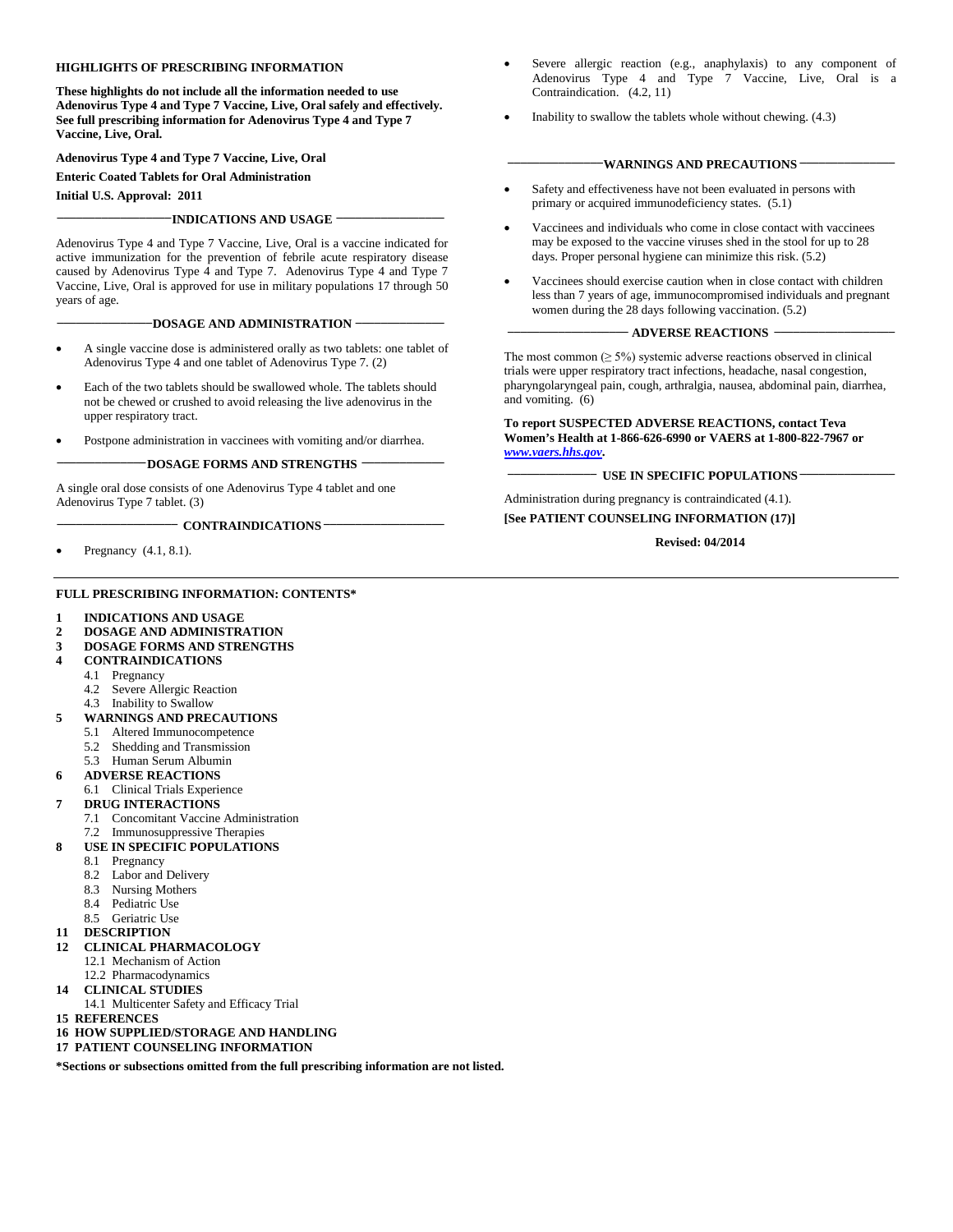#### **HIGHLIGHTS OF PRESCRIBING INFORMATION**

**These highlights do not include all the information needed to use Adenovirus Type 4 and Type 7 Vaccine, Live, Oral safely and effectively. See full prescribing information for Adenovirus Type 4 and Type 7 Vaccine, Live, Oral.** 

**Adenovirus Type 4 and Type 7 Vaccine, Live, Oral**

#### **Enteric Coated Tablets for Oral Administration**

**Initial U.S. Approval: 2011**

#### **\_\_\_\_\_\_\_\_\_\_\_\_\_\_\_\_\_\_INDICATIONS AND USAGE \_\_\_\_\_\_\_\_\_\_\_\_\_\_\_\_\_**

Adenovirus Type 4 and Type 7 Vaccine, Live, Oral is a vaccine indicated for active immunization for the prevention of febrile acute respiratory disease caused by Adenovirus Type 4 and Type 7. Adenovirus Type 4 and Type 7 Vaccine, Live, Oral is approved for use in military populations 17 through 50 years of age.

#### **\_\_\_\_\_\_\_\_\_\_\_\_\_\_\_DOSAGE AND ADMINISTRATION \_\_\_\_\_\_\_\_\_\_\_\_\_\_**

- A single vaccine dose is administered orally as two tablets: one tablet of Adenovirus Type 4 and one tablet of Adenovirus Type 7. (2)
- Each of the two tablets should be swallowed whole. The tablets should not be chewed or crushed to avoid releasing the live adenovirus in the upper respiratory tract.
- Postpone administration in vaccinees with vomiting and/or diarrhea.

#### **\_\_\_\_\_\_\_\_\_\_\_\_\_\_DOSAGE FORMS AND STRENGTHS \_\_\_\_\_\_\_\_\_\_\_\_\_**

A single oral dose consists of one Adenovirus Type 4 tablet and one Adenovirus Type 7 tablet. (3)

**\_\_\_\_\_\_\_\_\_\_\_\_\_\_\_\_\_\_\_ CONTRAINDICATIONS \_\_\_\_\_\_\_\_\_\_\_\_\_\_\_\_\_\_\_**

• Pregnancy(4.1, 8.1).

#### **FULL PRESCRIBING INFORMATION: CONTENTS\***

- **1 INDICATIONS AND USAGE**
- **2 DOSAGE AND ADMINISTRATION**
- **3 DOSAGE FORMS AND STRENGTHS**
- **4 CONTRAINDICATIONS**
	- 4.1 Pregnancy
	- 4.2 Severe Allergic Reaction
	- 4.3 Inability to Swallow
- **5 WARNINGS AND PRECAUTIONS**
	- 5.1 Altered Immunocompetence
		-
		- 5.2 Shedding and Transmission<br>5.3 Human Serum Albumin 5.3 Human Serum Albumin
- **6 ADVERSE REACTIONS**
- 6.1 Clinical Trials Experience

#### **7 DRUG INTERACTIONS**

- 7.1 Concomitant Vaccine Administration
- 7.2 Immunosuppressive Therapies
- **8 USE IN SPECIFIC POPULATIONS**
- 8.1 Pregnancy
	- 8.2 Labor and Delivery
	- 8.3 Nursing Mothers
	- 8.4 Pediatric Use
	- 8.5 Geriatric Use
- **11 DESCRIPTION**

#### **12 CLINICAL PHARMACOLOGY**

- 12.1 Mechanism of Action
- 12.2 Pharmacodynamics
- **14 CLINICAL STUDIES**
	- 14.1 Multicenter Safety and Efficacy Trial
- **15 REFERENCES**
- **16 HOW SUPPLIED/STORAGE AND HANDLING**
- **17 PATIENT COUNSELING INFORMATION**

**\*Sections or subsections omitted from the full prescribing information are not listed.**

- Severe allergic reaction (e.g., anaphylaxis) to any component of Adenovirus Type 4 and Type 7 Vaccine, Live, Oral is a Contraindication. (4.2, 11)
- Inability to swallow the tablets whole without chewing. (4.3)

#### **WARNINGS AND PRECAUTIONS**

- Safety and effectiveness have not been evaluated in persons with primary or acquired immunodeficiency states. (5.1)
- Vaccinees and individuals who come in close contact with vaccinees may be exposed to the vaccine viruses shed in the stool for up to 28 days. Proper personal hygiene can minimize this risk. (5.2)
- Vaccinees should exercise caution when in close contact with children less than 7 years of age, immunocompromised individuals and pregnant women during the 28 days following vaccination. (5.2)

#### **\_\_\_\_\_\_\_\_\_\_\_\_\_\_\_\_\_\_\_ ADVERSE REACTIONS \_\_\_\_\_\_\_\_\_\_\_\_\_\_\_\_\_\_\_**

The most common  $(≥ 5%)$  systemic adverse reactions observed in clinical trials were upper respiratory tract infections, headache, nasal congestion, pharyngolaryngeal pain, cough, arthralgia, nausea, abdominal pain, diarrhea, and vomiting. (6)

#### **To report SUSPECTED ADVERSE REACTIONS, contact Teva Women's Health at 1-866-626-6990 or VAERS at 1-800-822-7967 or**  *[www.vaers.hhs.gov](http://www.vaers.hhs.gov/)***.**

#### **\_\_\_\_\_\_\_\_\_\_\_\_\_\_ USE IN SPECIFIC POPULATIONS \_\_\_\_\_\_\_\_\_\_\_\_\_\_\_**

Administration during pregnancy is contraindicated (4.1). **[See PATIENT COUNSELING INFORMATION (17)]**

**Revised: 04/2014**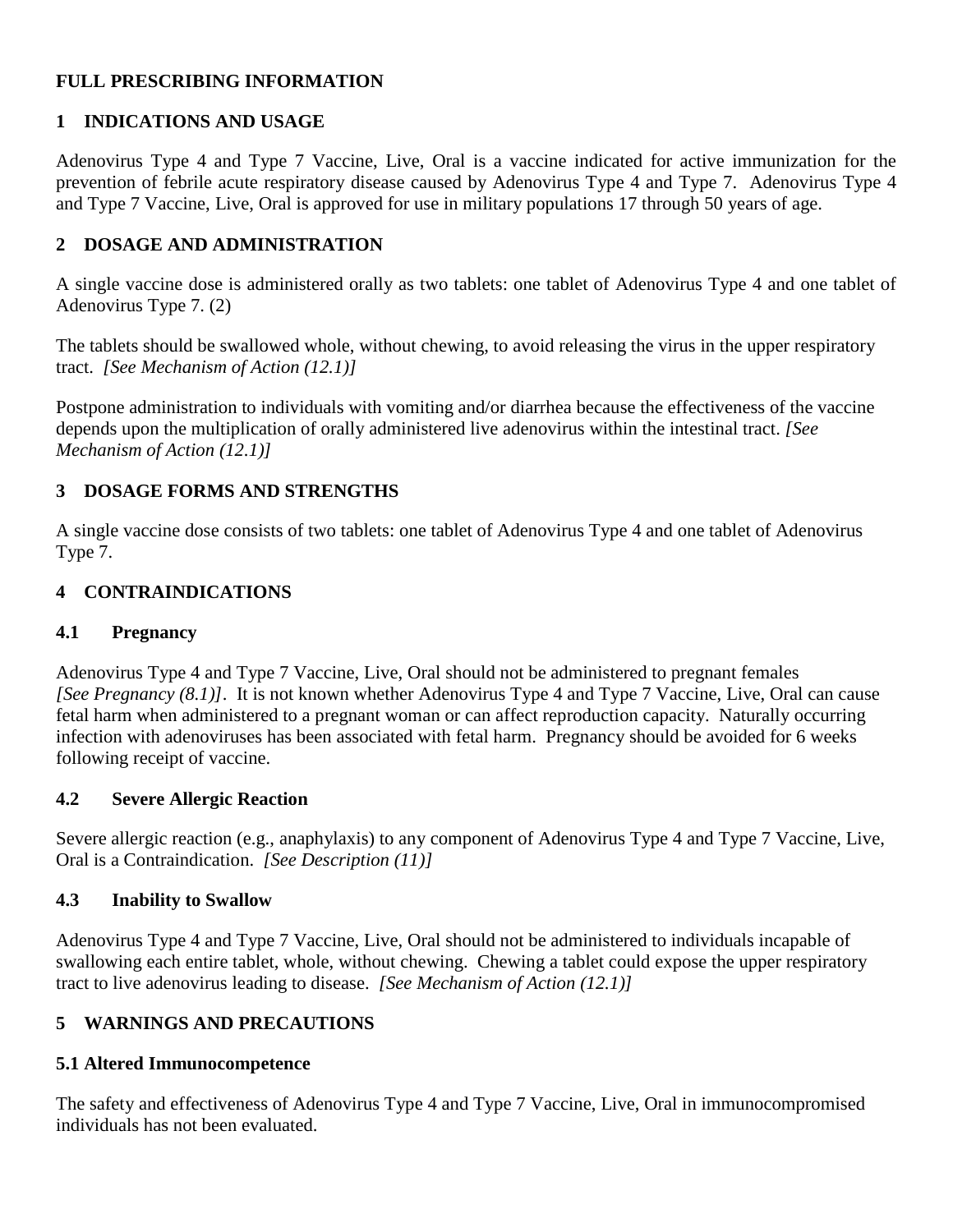## **FULL PRESCRIBING INFORMATION**

# **1 INDICATIONS AND USAGE**

Adenovirus Type 4 and Type 7 Vaccine, Live, Oral is a vaccine indicated for active immunization for the prevention of febrile acute respiratory disease caused by Adenovirus Type 4 and Type 7. Adenovirus Type 4 and Type 7 Vaccine, Live, Oral is approved for use in military populations 17 through 50 years of age.

## **2 DOSAGE AND ADMINISTRATION**

A single vaccine dose is administered orally as two tablets: one tablet of Adenovirus Type 4 and one tablet of Adenovirus Type 7. (2)

The tablets should be swallowed whole, without chewing, to avoid releasing the virus in the upper respiratory tract. *[See Mechanism of Action (12.1)]*

Postpone administration to individuals with vomiting and/or diarrhea because the effectiveness of the vaccine depends upon the multiplication of orally administered live adenovirus within the intestinal tract. *[See Mechanism of Action (12.1)]*

## **3 DOSAGE FORMS AND STRENGTHS**

A single vaccine dose consists of two tablets: one tablet of Adenovirus Type 4 and one tablet of Adenovirus Type 7.

## **4 CONTRAINDICATIONS**

## **4.1 Pregnancy**

Adenovirus Type 4 and Type 7 Vaccine, Live, Oral should not be administered to pregnant females *[See Pregnancy (8.1)]*. It is not known whether Adenovirus Type 4 and Type 7 Vaccine, Live, Oral can cause fetal harm when administered to a pregnant woman or can affect reproduction capacity. Naturally occurring infection with adenoviruses has been associated with fetal harm. Pregnancy should be avoided for 6 weeks following receipt of vaccine.

## **4.2 Severe Allergic Reaction**

Severe allergic reaction (e.g., anaphylaxis) to any component of Adenovirus Type 4 and Type 7 Vaccine, Live, Oral is a Contraindication. *[See Description (11)]*

## **4.3 Inability to Swallow**

Adenovirus Type 4 and Type 7 Vaccine, Live, Oral should not be administered to individuals incapable of swallowing each entire tablet, whole, without chewing. Chewing a tablet could expose the upper respiratory tract to live adenovirus leading to disease. *[See Mechanism of Action (12.1)]*

## **5 WARNINGS AND PRECAUTIONS**

## **5.1 Altered Immunocompetence**

The safety and effectiveness of Adenovirus Type 4 and Type 7 Vaccine, Live, Oral in immunocompromised individuals has not been evaluated.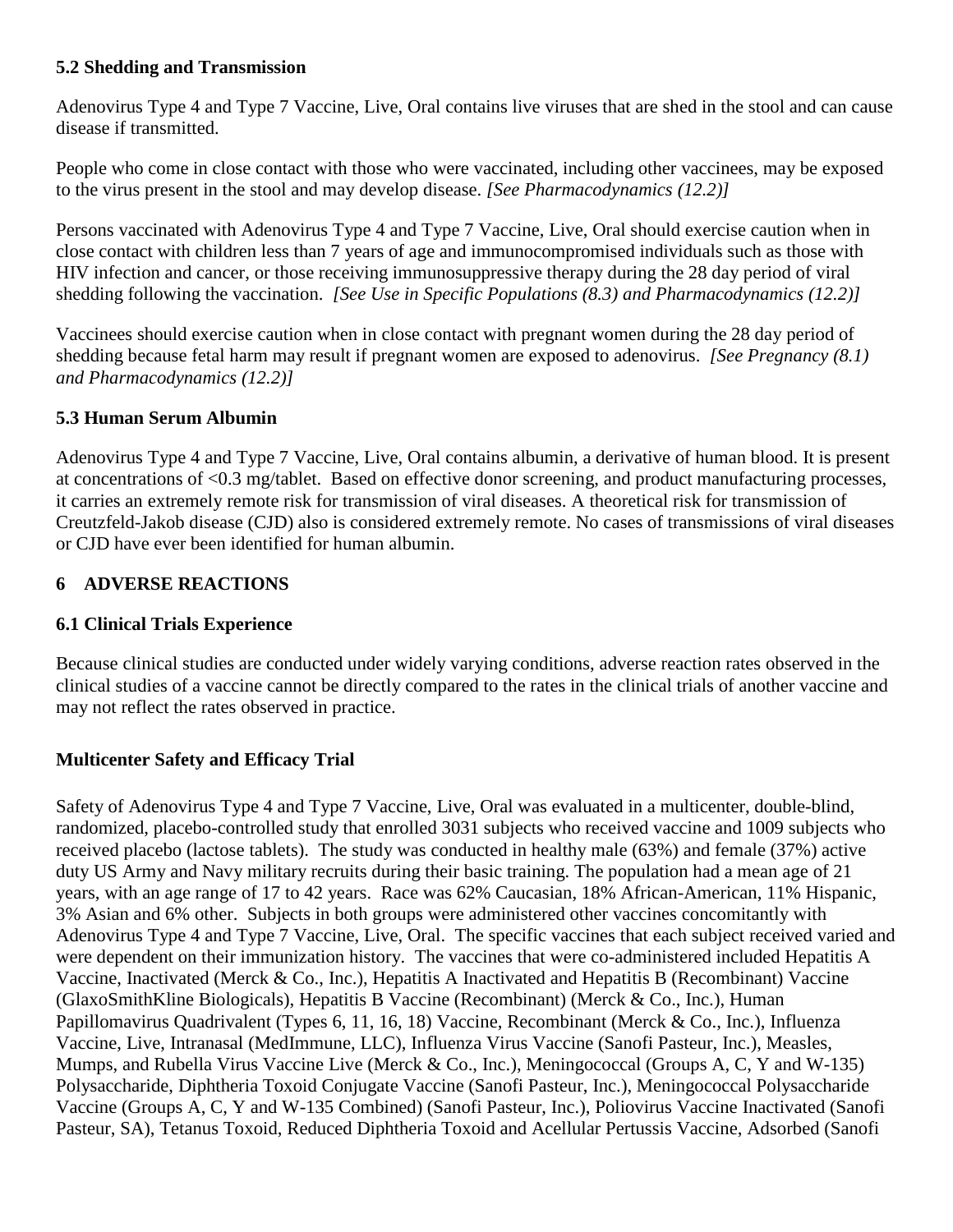## **5.2 Shedding and Transmission**

Adenovirus Type 4 and Type 7 Vaccine, Live, Oral contains live viruses that are shed in the stool and can cause disease if transmitted.

People who come in close contact with those who were vaccinated, including other vaccinees, may be exposed to the virus present in the stool and may develop disease. *[See Pharmacodynamics (12.2)]*

Persons vaccinated with Adenovirus Type 4 and Type 7 Vaccine, Live, Oral should exercise caution when in close contact with children less than 7 years of age and immunocompromised individuals such as those with HIV infection and cancer, or those receiving immunosuppressive therapy during the 28 day period of viral shedding following the vaccination. *[See Use in Specific Populations (8.3) and Pharmacodynamics (12.2)]*

Vaccinees should exercise caution when in close contact with pregnant women during the 28 day period of shedding because fetal harm may result if pregnant women are exposed to adenovirus. *[See Pregnancy (8.1) and Pharmacodynamics (12.2)]* 

## **5.3 Human Serum Albumin**

Adenovirus Type 4 and Type 7 Vaccine, Live, Oral contains albumin, a derivative of human blood. It is present at concentrations of <0.3 mg/tablet. Based on effective donor screening, and product manufacturing processes, it carries an extremely remote risk for transmission of viral diseases. A theoretical risk for transmission of Creutzfeld-Jakob disease (CJD) also is considered extremely remote. No cases of transmissions of viral diseases or CJD have ever been identified for human albumin.

## **6 ADVERSE REACTIONS**

## **6.1 Clinical Trials Experience**

Because clinical studies are conducted under widely varying conditions, adverse reaction rates observed in the clinical studies of a vaccine cannot be directly compared to the rates in the clinical trials of another vaccine and may not reflect the rates observed in practice.

## **Multicenter Safety and Efficacy Trial**

Safety of Adenovirus Type 4 and Type 7 Vaccine, Live, Oral was evaluated in a multicenter, double-blind, randomized, placebo-controlled study that enrolled 3031 subjects who received vaccine and 1009 subjects who received placebo (lactose tablets). The study was conducted in healthy male (63%) and female (37%) active duty US Army and Navy military recruits during their basic training. The population had a mean age of 21 years, with an age range of 17 to 42 years. Race was 62% Caucasian, 18% African-American, 11% Hispanic, 3% Asian and 6% other. Subjects in both groups were administered other vaccines concomitantly with Adenovirus Type 4 and Type 7 Vaccine, Live, Oral. The specific vaccines that each subject received varied and were dependent on their immunization history. The vaccines that were co-administered included Hepatitis A Vaccine, Inactivated (Merck & Co., Inc.), Hepatitis A Inactivated and Hepatitis B (Recombinant) Vaccine (GlaxoSmithKline Biologicals), Hepatitis B Vaccine (Recombinant) (Merck & Co., Inc.), [Human](http://www.fda.gov/BiologicsBloodVaccines/Vaccines/ApprovedProducts/ucm172678.htm)  [Papillomavirus Quadrivalent \(Types 6, 11, 16, 18\) Vaccine, Recombinant](http://www.fda.gov/BiologicsBloodVaccines/Vaccines/ApprovedProducts/ucm172678.htm) (Merck & Co., Inc.), Influenza Vaccine, Live, Intranasal (MedImmune, LLC), Influenza Virus Vaccine (Sanofi Pasteur, Inc.), Measles, Mumps, and Rubella Virus Vaccine Live (Merck & Co., Inc.), Meningococcal (Groups A, C, Y and W-135) Polysaccharide, Diphtheria Toxoid Conjugate Vaccine (Sanofi Pasteur, Inc.), Meningococcal Polysaccharide Vaccine (Groups A, C, Y and W-135 Combined) (Sanofi Pasteur, Inc.), Poliovirus Vaccine Inactivated (Sanofi Pasteur, SA), Tetanus Toxoid, Reduced Diphtheria Toxoid and Acellular Pertussis Vaccine, Adsorbed (Sanofi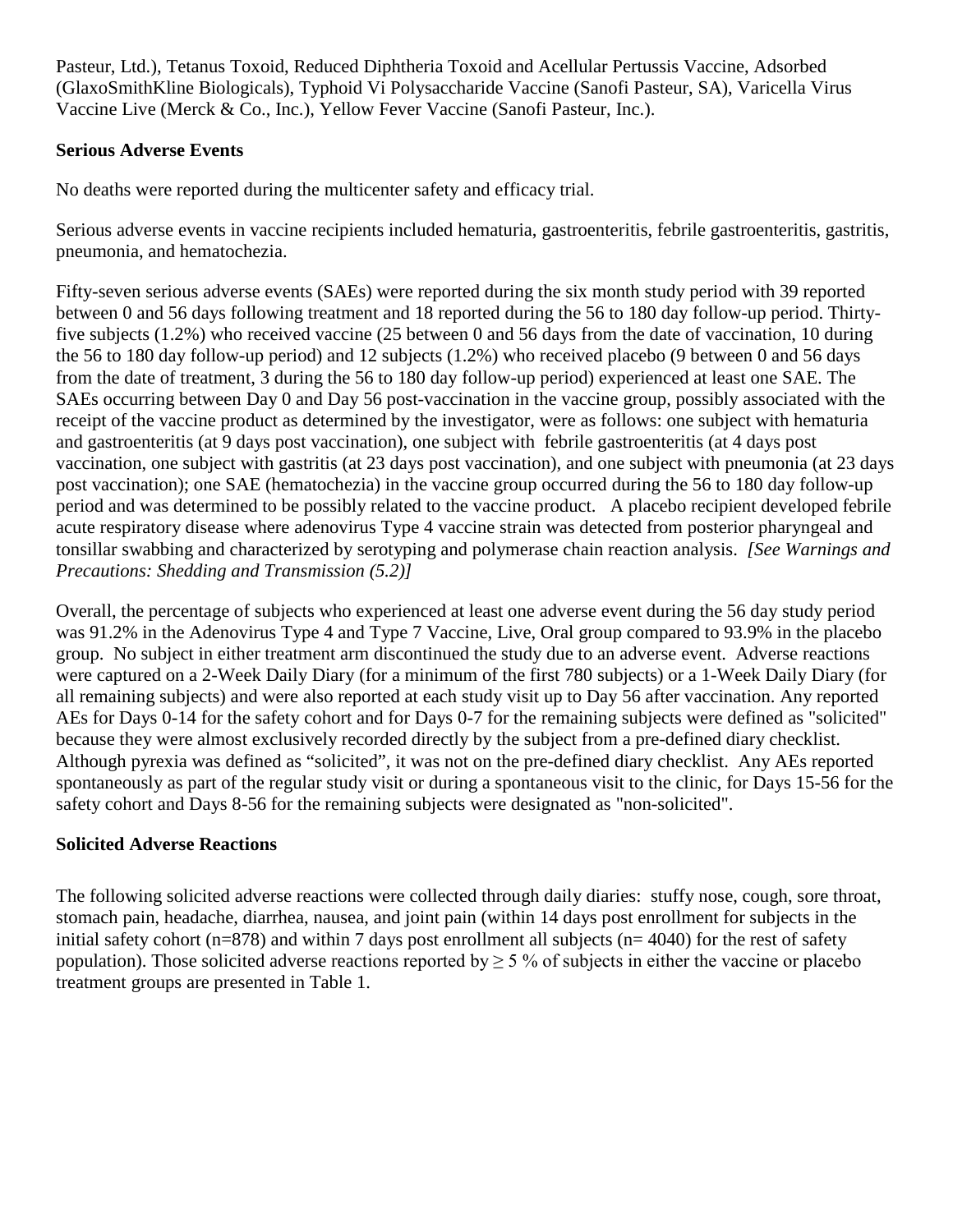Pasteur, Ltd.), Tetanus Toxoid, Reduced Diphtheria Toxoid and Acellular Pertussis Vaccine, Adsorbed (GlaxoSmithKline Biologicals), Typhoid Vi Polysaccharide Vaccine (Sanofi Pasteur, SA), Varicella Virus Vaccine Live (Merck & Co., Inc.), Yellow Fever Vaccine (Sanofi Pasteur, Inc.).

## **Serious Adverse Events**

No deaths were reported during the multicenter safety and efficacy trial.

Serious adverse events in vaccine recipients included hematuria, gastroenteritis, febrile gastroenteritis, gastritis, pneumonia, and hematochezia.

Fifty-seven serious adverse events (SAEs) were reported during the six month study period with 39 reported between 0 and 56 days following treatment and 18 reported during the 56 to 180 day follow-up period. Thirtyfive subjects (1.2%) who received vaccine (25 between 0 and 56 days from the date of vaccination, 10 during the 56 to 180 day follow-up period) and 12 subjects (1.2%) who received placebo (9 between 0 and 56 days from the date of treatment, 3 during the 56 to 180 day follow-up period) experienced at least one SAE. The SAEs occurring between Day 0 and Day 56 post-vaccination in the vaccine group, possibly associated with the receipt of the vaccine product as determined by the investigator, were as follows: one subject with hematuria and gastroenteritis (at 9 days post vaccination), one subject with febrile gastroenteritis (at 4 days post vaccination, one subject with gastritis (at 23 days post vaccination), and one subject with pneumonia (at 23 days post vaccination); one SAE (hematochezia) in the vaccine group occurred during the 56 to 180 day follow-up period and was determined to be possibly related to the vaccine product. A placebo recipient developed febrile acute respiratory disease where adenovirus Type 4 vaccine strain was detected from posterior pharyngeal and tonsillar swabbing and characterized by serotyping and polymerase chain reaction analysis. *[See Warnings and Precautions: Shedding and Transmission (5.2)]*

Overall, the percentage of subjects who experienced at least one adverse event during the 56 day study period was 91.2% in the Adenovirus Type 4 and Type 7 Vaccine, Live, Oral group compared to 93.9% in the placebo group. No subject in either treatment arm discontinued the study due to an adverse event. Adverse reactions were captured on a 2-Week Daily Diary (for a minimum of the first 780 subjects) or a 1-Week Daily Diary (for all remaining subjects) and were also reported at each study visit up to Day 56 after vaccination. Any reported AEs for Days 0-14 for the safety cohort and for Days 0-7 for the remaining subjects were defined as "solicited" because they were almost exclusively recorded directly by the subject from a pre-defined diary checklist. Although pyrexia was defined as "solicited", it was not on the pre-defined diary checklist. Any AEs reported spontaneously as part of the regular study visit or during a spontaneous visit to the clinic, for Days 15-56 for the safety cohort and Days 8-56 for the remaining subjects were designated as "non-solicited".

## **Solicited Adverse Reactions**

The following solicited adverse reactions were collected through daily diaries: stuffy nose, cough, sore throat, stomach pain, headache, diarrhea, nausea, and joint pain (within 14 days post enrollment for subjects in the initial safety cohort (n=878) and within 7 days post enrollment all subjects (n= 4040) for the rest of safety population). Those solicited adverse reactions reported by  $\geq$  5 % of subjects in either the vaccine or placebo treatment groups are presented in Table 1.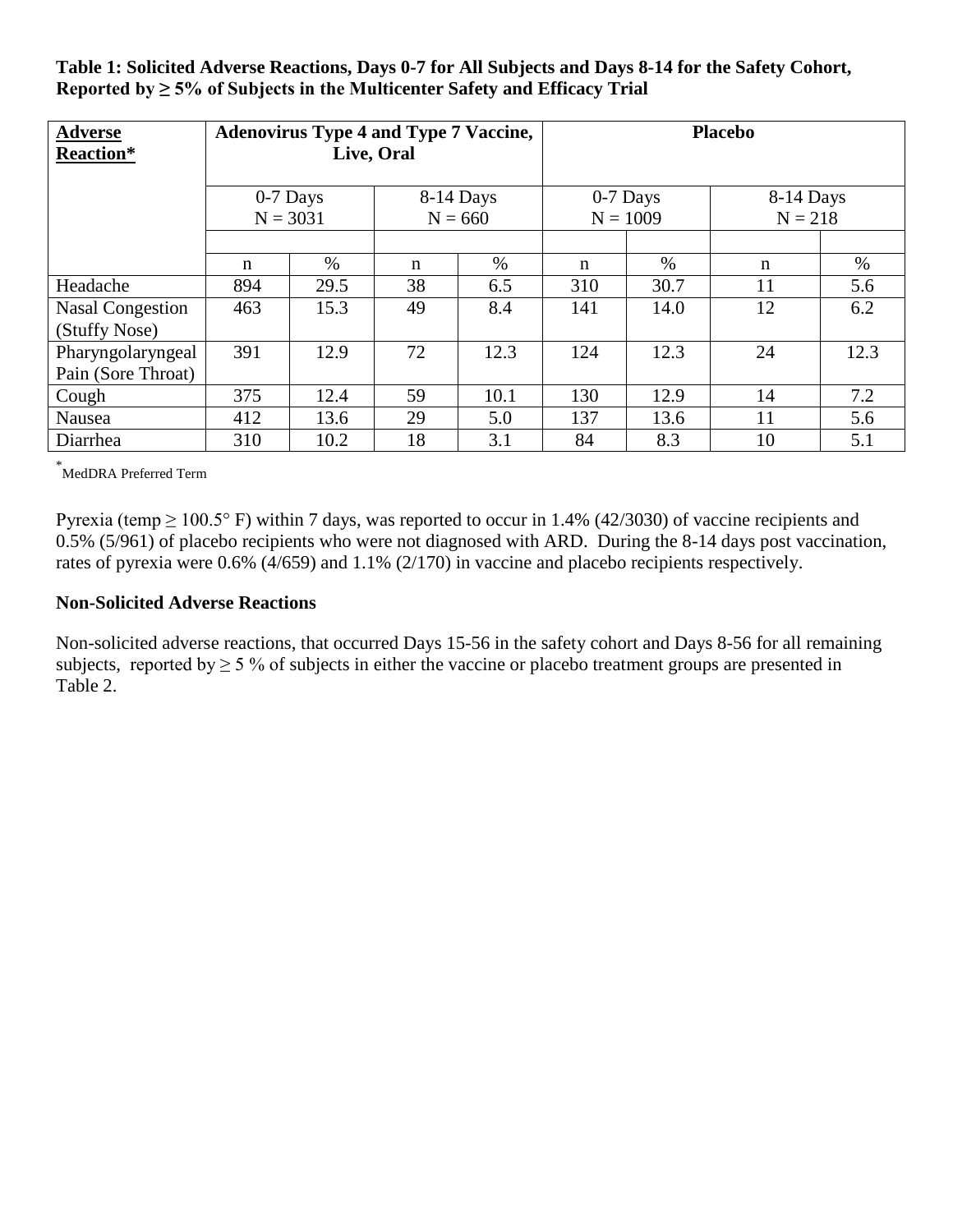**Table 1: Solicited Adverse Reactions, Days 0-7 for All Subjects and Days 8-14 for the Safety Cohort,** Reported by  $\geq 5\%$  of Subjects in the Multicenter Safety and Efficacy Trial

| <b>Adverse</b><br>Reaction*              | <b>Adenovirus Type 4 and Type 7 Vaccine,</b><br>Live, Oral |      |                        | <b>Placebo</b> |                        |      |                        |      |
|------------------------------------------|------------------------------------------------------------|------|------------------------|----------------|------------------------|------|------------------------|------|
|                                          | $0-7$ Days<br>$N = 3031$                                   |      | 8-14 Days<br>$N = 660$ |                | 0-7 Days<br>$N = 1009$ |      | 8-14 Days<br>$N = 218$ |      |
|                                          | n                                                          | $\%$ | %<br>n                 |                | n                      | $\%$ | n                      | %    |
| Headache                                 | 894                                                        | 29.5 | 38                     | 6.5            | 310                    | 30.7 | 11                     | 5.6  |
| <b>Nasal Congestion</b><br>(Stuffy Nose) | 463                                                        | 15.3 | 49                     | 8.4            | 141                    | 14.0 | 12                     | 6.2  |
| Pharyngolaryngeal<br>Pain (Sore Throat)  | 391                                                        | 12.9 | 72                     | 12.3           | 124                    | 12.3 | 24                     | 12.3 |
| Cough                                    | 375                                                        | 12.4 | 59                     | 10.1           | 130                    | 12.9 | 14                     | 7.2  |
| Nausea                                   | 412                                                        | 13.6 | 29                     | 5.0            | 137                    | 13.6 | 11                     | 5.6  |
| Diarrhea                                 | 310                                                        | 10.2 | 18                     | 3.1            | 84                     | 8.3  | 10                     | 5.1  |

\* MedDRA Preferred Term

Pyrexia (temp  $\geq 100.5^{\circ}$  F) within 7 days, was reported to occur in 1.4% (42/3030) of vaccine recipients and 0.5% (5/961) of placebo recipients who were not diagnosed with ARD. During the 8-14 days post vaccination, rates of pyrexia were 0.6% (4/659) and 1.1% (2/170) in vaccine and placebo recipients respectively.

#### **Non-Solicited Adverse Reactions**

Non-solicited adverse reactions, that occurred Days 15-56 in the safety cohort and Days 8-56 for all remaining subjects, reported by  $\geq 5$  % of subjects in either the vaccine or placebo treatment groups are presented in Table 2.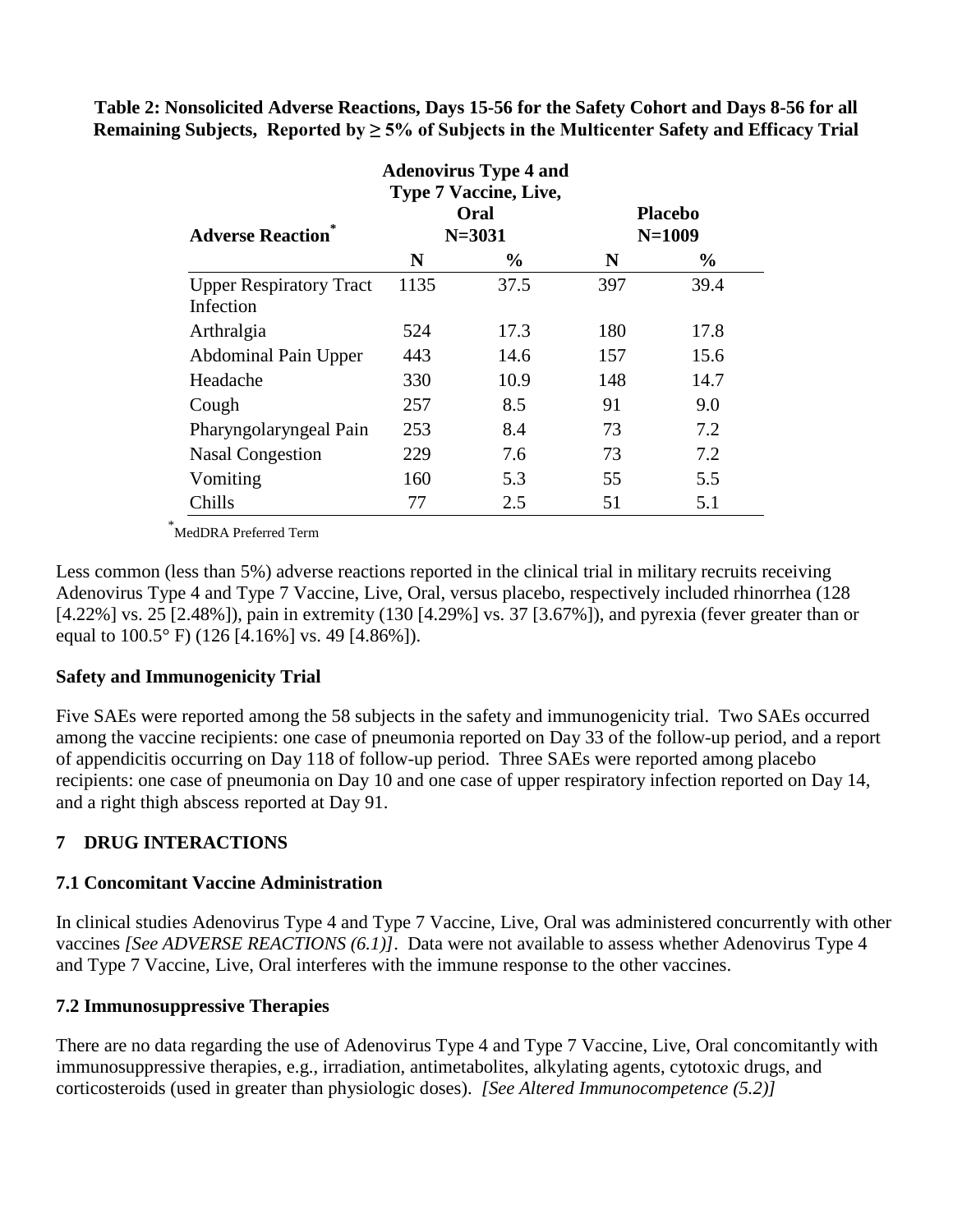| <b>Adenovirus Type 4 and</b><br><b>Type 7 Vaccine, Live,</b><br>Oral<br><b>Placebo</b> |      |            |     |               |  |
|----------------------------------------------------------------------------------------|------|------------|-----|---------------|--|
| <b>Adverse Reaction</b>                                                                |      | $N = 3031$ |     | $N = 1009$    |  |
|                                                                                        | N    | $\%$       | N   | $\frac{6}{9}$ |  |
| <b>Upper Respiratory Tract</b>                                                         | 1135 | 37.5       | 397 | 39.4          |  |
| Infection                                                                              |      |            |     |               |  |
| Arthralgia                                                                             | 524  | 17.3       | 180 | 17.8          |  |
| <b>Abdominal Pain Upper</b>                                                            | 443  | 14.6       | 157 | 15.6          |  |
| Headache                                                                               | 330  | 10.9       | 148 | 14.7          |  |
| Cough                                                                                  | 257  | 8.5        | 91  | 9.0           |  |
| Pharyngolaryngeal Pain                                                                 | 253  | 8.4        | 73  | 7.2           |  |
| <b>Nasal Congestion</b>                                                                | 229  | 7.6        | 73  | 7.2           |  |
| Vomiting                                                                               | 160  | 5.3        | 55  | 5.5           |  |
| Chills                                                                                 | 77   | 2.5        | 51  | 5.1           |  |

**Table 2: Nonsolicited Adverse Reactions, Days 15-56 for the Safety Cohort and Days 8-56 for all Remaining Subjects, Reported by ≥ 5% of Subjects in the Multicenter Safety and Efficacy Trial**

\* MedDRA Preferred Term

Less common (less than 5%) adverse reactions reported in the clinical trial in military recruits receiving Adenovirus Type 4 and Type 7 Vaccine, Live, Oral, versus placebo, respectively included rhinorrhea (128 [4.22%] vs. 25 [2.48%]), pain in extremity (130 [4.29%] vs. 37 [3.67%]), and pyrexia (fever greater than or equal to 100.5° F) (126 [4.16%] vs. 49 [4.86%]).

## **Safety and Immunogenicity Trial**

Five SAEs were reported among the 58 subjects in the safety and immunogenicity trial. Two SAEs occurred among the vaccine recipients: one case of pneumonia reported on Day 33 of the follow-up period, and a report of appendicitis occurring on Day 118 of follow-up period. Three SAEs were reported among placebo recipients: one case of pneumonia on Day 10 and one case of upper respiratory infection reported on Day 14, and a right thigh abscess reported at Day 91.

## **7 DRUG INTERACTIONS**

#### **7.1 Concomitant Vaccine Administration**

In clinical studies Adenovirus Type 4 and Type 7 Vaccine, Live, Oral was administered concurrently with other vaccines *[See ADVERSE REACTIONS (6.1)]*.Data were not available to assess whether Adenovirus Type 4 and Type 7 Vaccine, Live, Oral interferes with the immune response to the other vaccines.

#### **7.2 Immunosuppressive Therapies**

There are no data regarding the use of Adenovirus Type 4 and Type 7 Vaccine, Live, Oral concomitantly with immunosuppressive therapies, e.g., irradiation, antimetabolites, alkylating agents, cytotoxic drugs, and corticosteroids (used in greater than physiologic doses). *[See Altered Immunocompetence (5.2)]*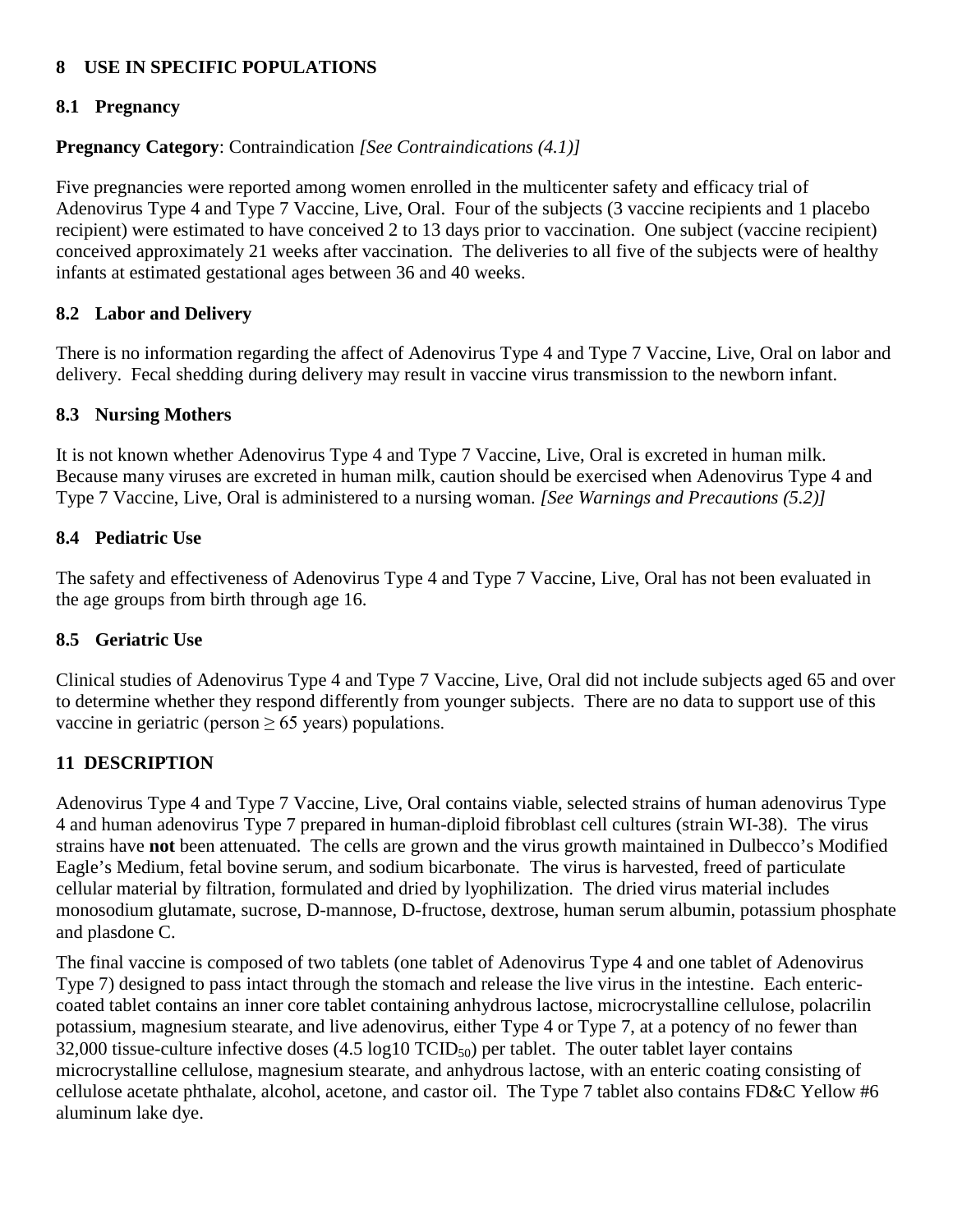## **8 USE IN SPECIFIC POPULATIONS**

## **8.1 Pregnancy**

## **Pregnancy Category**: Contraindication *[See Contraindications (4.1)]*

Five pregnancies were reported among women enrolled in the multicenter safety and efficacy trial of Adenovirus Type 4 and Type 7 Vaccine, Live, Oral. Four of the subjects (3 vaccine recipients and 1 placebo recipient) were estimated to have conceived 2 to 13 days prior to vaccination. One subject (vaccine recipient) conceived approximately 21 weeks after vaccination. The deliveries to all five of the subjects were of healthy infants at estimated gestational ages between 36 and 40 weeks.

## **8.2 Labor and Delivery**

There is no information regarding the affect of Adenovirus Type 4 and Type 7 Vaccine, Live, Oral on labor and delivery. Fecal shedding during delivery may result in vaccine virus transmission to the newborn infant.

## **8.3 Nur**s**ing Mothers**

It is not known whether Adenovirus Type 4 and Type 7 Vaccine, Live, Oral is excreted in human milk. Because many viruses are excreted in human milk, caution should be exercised when Adenovirus Type 4 and Type 7 Vaccine, Live, Oral is administered to a nursing woman. *[See Warnings and Precautions (5.2)]*

## **8.4 Pediatric Use**

The safety and effectiveness of Adenovirus Type 4 and Type 7 Vaccine, Live, Oral has not been evaluated in the age groups from birth through age 16.

## **8.5 Geriatric Use**

Clinical studies of Adenovirus Type 4 and Type 7 Vaccine, Live, Oral did not include subjects aged 65 and over to determine whether they respond differently from younger subjects. There are no data to support use of this vaccine in geriatric (person  $\geq 65$  years) populations.

# **11 DESCRIPTION**

Adenovirus Type 4 and Type 7 Vaccine, Live, Oral contains viable, selected strains of human adenovirus Type 4 and human adenovirus Type 7 prepared in human-diploid fibroblast cell cultures (strain WI-38). The virus strains have **not** been attenuated. The cells are grown and the virus growth maintained in Dulbecco's Modified Eagle's Medium, fetal bovine serum, and sodium bicarbonate. The virus is harvested, freed of particulate cellular material by filtration, formulated and dried by lyophilization. The dried virus material includes monosodium glutamate, sucrose, D-mannose, D-fructose, dextrose, human serum albumin, potassium phosphate and plasdone C.

The final vaccine is composed of two tablets (one tablet of Adenovirus Type 4 and one tablet of Adenovirus Type 7) designed to pass intact through the stomach and release the live virus in the intestine. Each entericcoated tablet contains an inner core tablet containing anhydrous lactose, microcrystalline cellulose, polacrilin potassium, magnesium stearate, and live adenovirus, either Type 4 or Type 7, at a potency of no fewer than 32,000 tissue-culture infective doses  $(4.5 \log 10 \text{ TCID}_{50})$  per tablet. The outer tablet layer contains microcrystalline cellulose, magnesium stearate, and anhydrous lactose, with an enteric coating consisting of cellulose acetate phthalate, alcohol, acetone, and castor oil. The Type 7 tablet also contains FD&C Yellow #6 aluminum lake dye.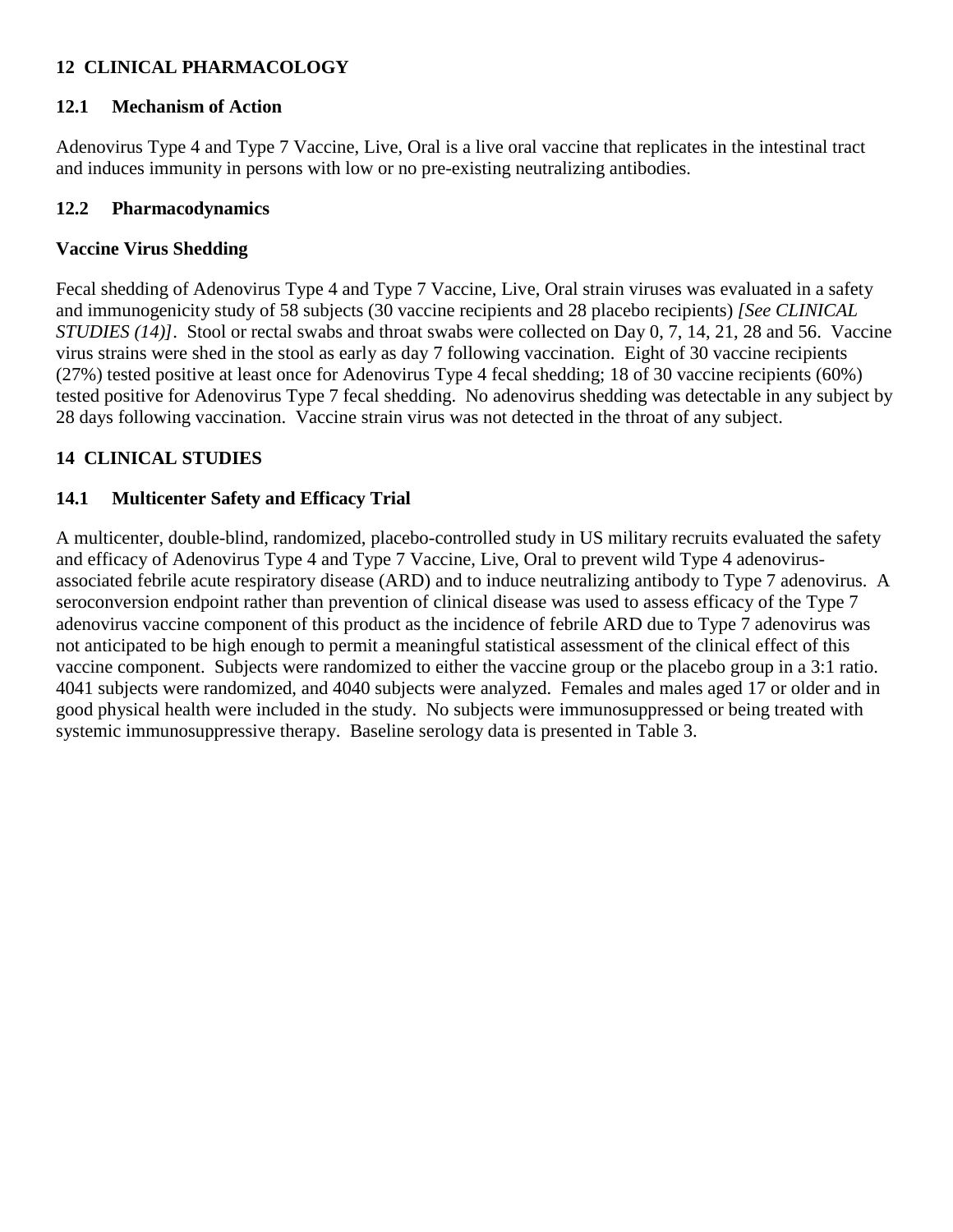# **12 CLINICAL PHARMACOLOGY**

## **12.1 Mechanism of Action**

Adenovirus Type 4 and Type 7 Vaccine, Live, Oral is a live oral vaccine that replicates in the intestinal tract and induces immunity in persons with low or no pre-existing neutralizing antibodies.

## **12.2 Pharmacodynamics**

## **Vaccine Virus Shedding**

Fecal shedding of Adenovirus Type 4 and Type 7 Vaccine, Live, Oral strain viruses was evaluated in a safety and immunogenicity study of 58 subjects (30 vaccine recipients and 28 placebo recipients) *[See CLINICAL STUDIES (14)]*. Stool or rectal swabs and throat swabs were collected on Day 0, 7, 14, 21, 28 and 56. Vaccine virus strains were shed in the stool as early as day 7 following vaccination. Eight of 30 vaccine recipients (27%) tested positive at least once for Adenovirus Type 4 fecal shedding; 18 of 30 vaccine recipients (60%) tested positive for Adenovirus Type 7 fecal shedding. No adenovirus shedding was detectable in any subject by 28 days following vaccination. Vaccine strain virus was not detected in the throat of any subject.

# **14 CLINICAL STUDIES**

## **14.1 Multicenter Safety and Efficacy Trial**

A multicenter, double-blind, randomized, placebo-controlled study in US military recruits evaluated the safety and efficacy of Adenovirus Type 4 and Type 7 Vaccine, Live, Oral to prevent wild Type 4 adenovirusassociated febrile acute respiratory disease (ARD) and to induce neutralizing antibody to Type 7 adenovirus. A seroconversion endpoint rather than prevention of clinical disease was used to assess efficacy of the Type 7 adenovirus vaccine component of this product as the incidence of febrile ARD due to Type 7 adenovirus was not anticipated to be high enough to permit a meaningful statistical assessment of the clinical effect of this vaccine component. Subjects were randomized to either the vaccine group or the placebo group in a 3:1 ratio. 4041 subjects were randomized, and 4040 subjects were analyzed. Females and males aged 17 or older and in good physical health were included in the study. No subjects were immunosuppressed or being treated with systemic immunosuppressive therapy. Baseline serology data is presented in Table 3.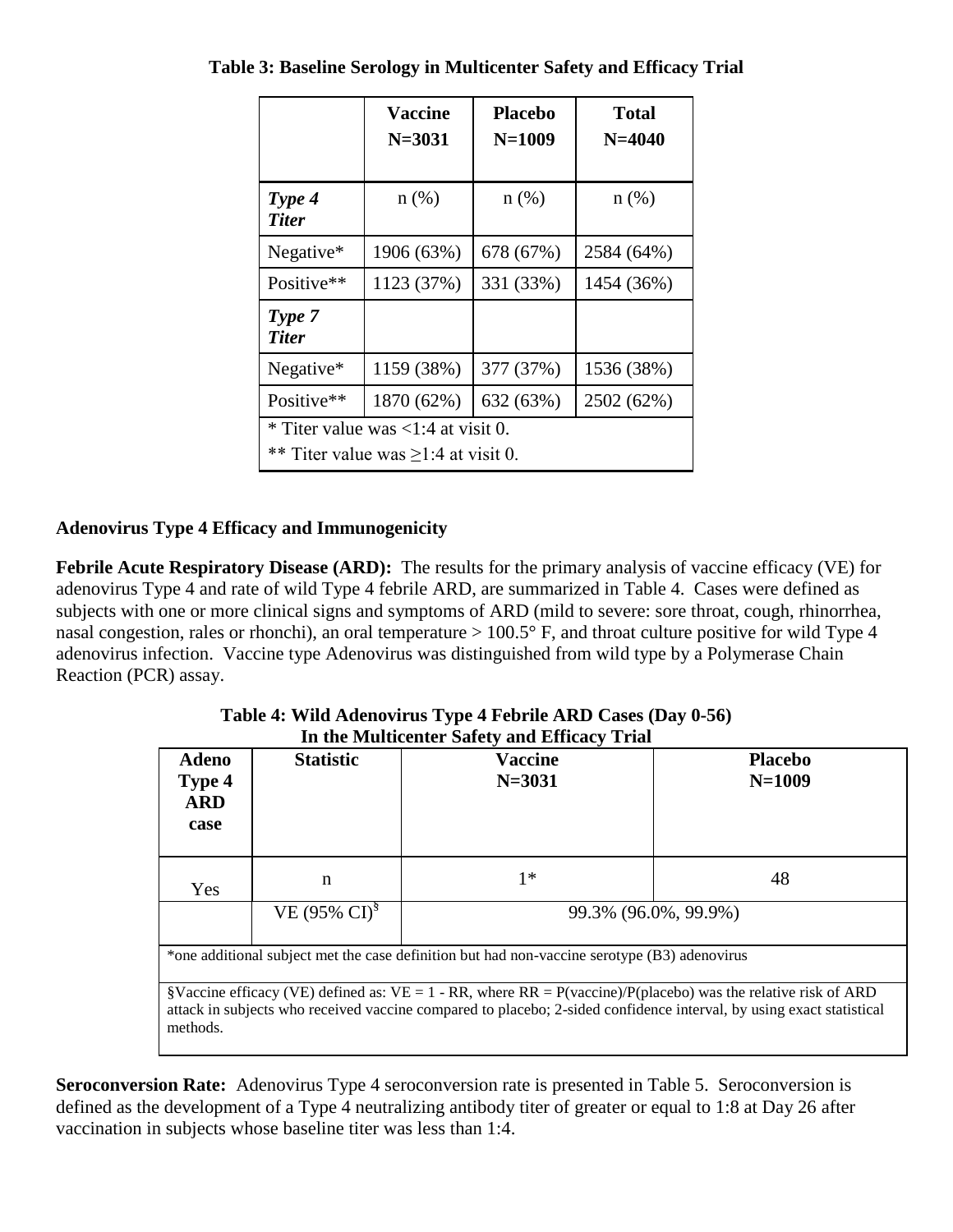|                                                                                                    | <b>Vaccine</b><br>$N = 3031$ | <b>Placebo</b><br>$N = 1009$ | <b>Total</b><br>$N = 4040$ |  |  |
|----------------------------------------------------------------------------------------------------|------------------------------|------------------------------|----------------------------|--|--|
| Type 4<br><b>Titer</b>                                                                             | $n$ (%)                      | $n$ (%)                      | $n(\%)$                    |  |  |
| Negative*                                                                                          | 1906 (63%)                   | 678 (67%)                    | 2584 (64%)                 |  |  |
| Positive**                                                                                         | 1123 (37%)                   | 331 (33%)                    | 1454 (36%)                 |  |  |
| Type 7<br><b>Titer</b>                                                                             |                              |                              |                            |  |  |
| Negative*                                                                                          | 1159 (38%)                   | 377 (37%)                    | 1536 (38%)                 |  |  |
| Positive**<br>1870 (62%)                                                                           |                              | 632 (63%)                    | 2502 (62%)                 |  |  |
| * Titer value was $\langle 1:4 \text{ at visit } 0$ .<br>** Titer value was $\geq$ 1:4 at visit 0. |                              |                              |                            |  |  |

**Table 3: Baseline Serology in Multicenter Safety and Efficacy Trial**

# **Adenovirus Type 4 Efficacy and Immunogenicity**

**Febrile Acute Respiratory Disease (ARD):** The results for the primary analysis of vaccine efficacy (VE) for adenovirus Type 4 and rate of wild Type 4 febrile ARD, are summarized in Table 4. Cases were defined as subjects with one or more clinical signs and symptoms of ARD (mild to severe: sore throat, cough, rhinorrhea, nasal congestion, rales or rhonchi), an oral temperature > 100.5° F, and throat culture positive for wild Type 4 adenovirus infection. Vaccine type Adenovirus was distinguished from wild type by a Polymerase Chain Reaction (PCR) assay.

| <b>Adeno</b><br>Type 4<br><b>ARD</b><br>case | <b>Statistic</b>                          | In the Multicenter Safety and Efficacy Trial<br><b>Vaccine</b><br>$N = 3031$                                                                                                                                                            | <b>Placebo</b><br>$N = 1009$ |  |  |
|----------------------------------------------|-------------------------------------------|-----------------------------------------------------------------------------------------------------------------------------------------------------------------------------------------------------------------------------------------|------------------------------|--|--|
| Yes                                          | n                                         | $1*$                                                                                                                                                                                                                                    | 48                           |  |  |
|                                              | VE (95% $CD^{\$}$<br>99.3% (96.0%, 99.9%) |                                                                                                                                                                                                                                         |                              |  |  |
|                                              |                                           | *one additional subject met the case definition but had non-vaccine serotype (B3) adenovirus                                                                                                                                            |                              |  |  |
| methods.                                     |                                           | §Vaccine efficacy (VE) defined as: VE = 1 - RR, where $RR = P(vaccine)/P(placebo)$ was the relative risk of ARD<br>attack in subjects who received vaccine compared to placebo; 2-sided confidence interval, by using exact statistical |                              |  |  |

**Table 4: Wild Adenovirus Type 4 Febrile ARD Cases (Day 0-56) In the Multicenter Safety and Efficacy Trial**

**Seroconversion Rate:** Adenovirus Type 4 seroconversion rate is presented in Table 5. Seroconversion is defined as the development of a Type 4 neutralizing antibody titer of greater or equal to 1:8 at Day 26 after vaccination in subjects whose baseline titer was less than 1:4.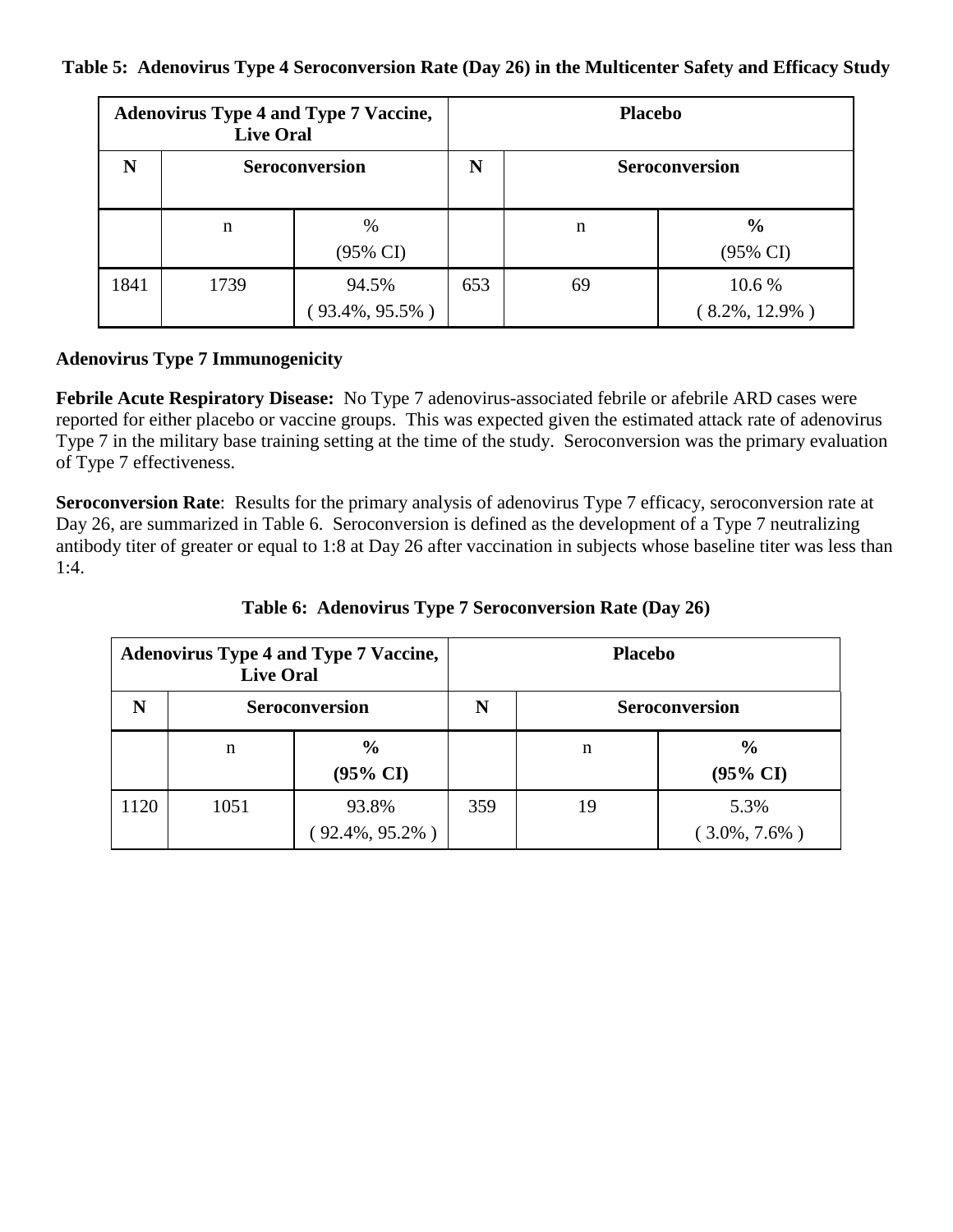#### **Table 5: Adenovirus Type 4 Seroconversion Rate (Day 26) in the Multicenter Safety and Efficacy Study**

| <b>Adenovirus Type 4 and Type 7 Vaccine,</b><br><b>Live Oral</b> |                       |                             |     | <b>Placebo</b>        |                                      |  |  |
|------------------------------------------------------------------|-----------------------|-----------------------------|-----|-----------------------|--------------------------------------|--|--|
| N                                                                | <b>Seroconversion</b> |                             | N   | <b>Seroconversion</b> |                                      |  |  |
|                                                                  | n                     | $\%$<br>(95% CI)            |     | n                     | $\frac{6}{9}$<br>$(95\% \text{ CI})$ |  |  |
| 1841                                                             | 1739                  | 94.5%<br>$(93.4\%, 95.5\%)$ | 653 | 69                    | 10.6 %<br>$(8.2\%, 12.9\%)$          |  |  |

## **Adenovirus Type 7 Immunogenicity**

**Febrile Acute Respiratory Disease:** No Type 7 adenovirus-associated febrile or afebrile ARD cases were reported for either placebo or vaccine groups. This was expected given the estimated attack rate of adenovirus Type 7 in the military base training setting at the time of the study. Seroconversion was the primary evaluation of Type 7 effectiveness.

**Seroconversion Rate:** Results for the primary analysis of adenovirus Type 7 efficacy, seroconversion rate at Day 26, are summarized in Table 6. Seroconversion is defined as the development of a Type 7 neutralizing antibody titer of greater or equal to 1:8 at Day 26 after vaccination in subjects whose baseline titer was less than 1:4.

|      | <b>Live Oral</b>      | <b>Adenovirus Type 4 and Type 7 Vaccine,</b> | <b>Placebo</b> |                       |                                      |  |
|------|-----------------------|----------------------------------------------|----------------|-----------------------|--------------------------------------|--|
| N    | <b>Seroconversion</b> |                                              | N              | <b>Seroconversion</b> |                                      |  |
|      | n                     | $\frac{0}{0}$<br>$(95\% \text{ CI})$         |                | n                     | $\frac{6}{6}$<br>$(95\% \text{ CI})$ |  |
| 1120 | 1051                  | 93.8%<br>$(92.4\%, 95.2\%)$                  | 359            | 19                    | 5.3%<br>$(3.0\%, 7.6\%)$             |  |

**Table 6: Adenovirus Type 7 Seroconversion Rate (Day 26)**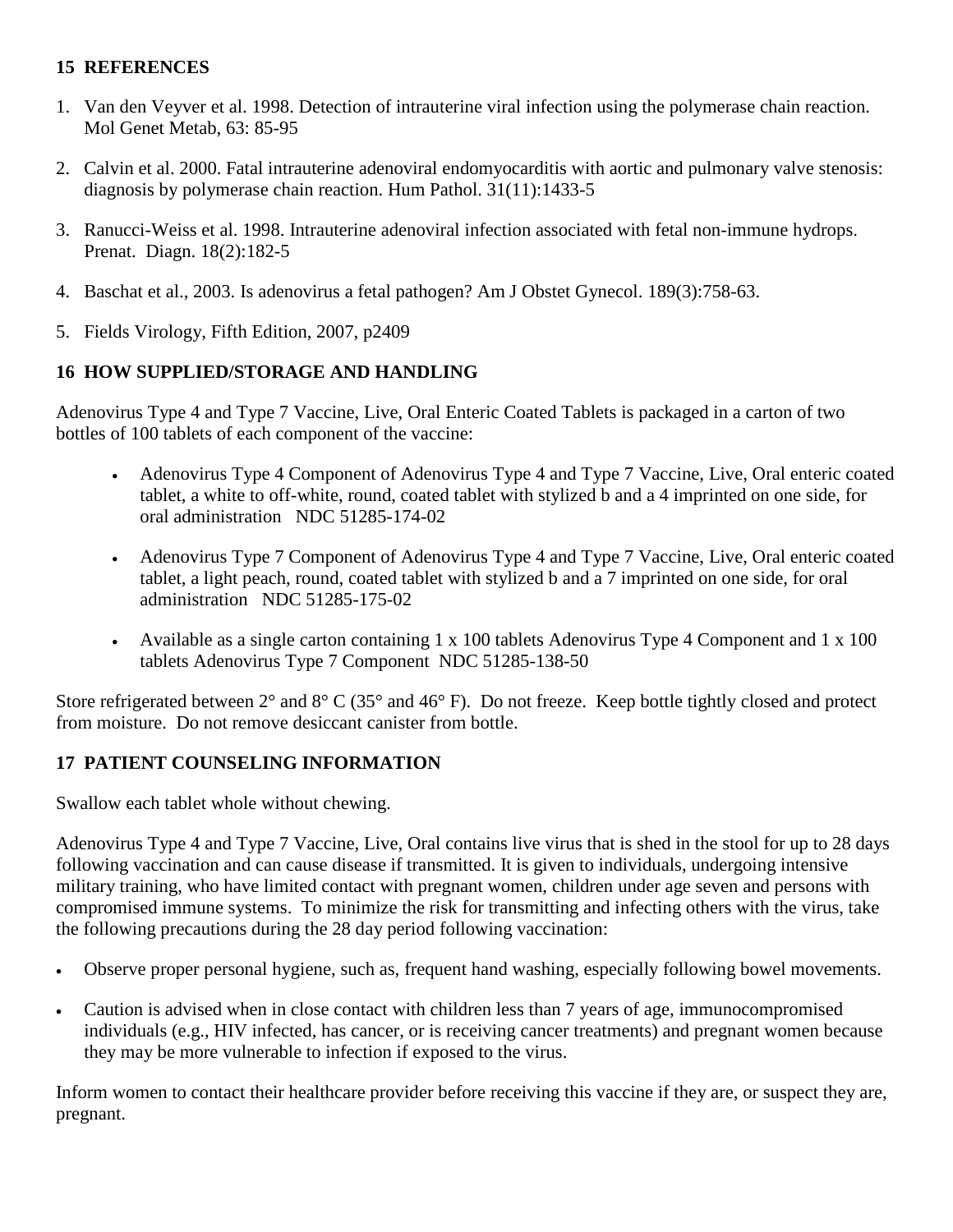## **15 REFERENCES**

- 1. Van den Veyver et al. 1998. Detection of intrauterine viral infection using the polymerase chain reaction. Mol Genet Metab, 63: 85-95
- 2. Calvin et al. 2000. Fatal intrauterine adenoviral endomyocarditis with aortic and pulmonary valve stenosis: diagnosis by polymerase chain reaction. Hum Pathol. 31(11):1433-5
- 3. Ranucci-Weiss et al. 1998. Intrauterine adenoviral infection associated with fetal non-immune hydrops. Prenat. Diagn. 18(2):182-5
- 4. Baschat et al., 2003. Is adenovirus a fetal pathogen? Am J Obstet Gynecol. 189(3):758-63.
- 5. Fields Virology, Fifth Edition, 2007, p2409

# **16 HOW SUPPLIED/STORAGE AND HANDLING**

Adenovirus Type 4 and Type 7 Vaccine, Live, Oral Enteric Coated Tablets is packaged in a carton of two bottles of 100 tablets of each component of the vaccine:

- Adenovirus Type 4 Component of Adenovirus Type 4 and Type 7 Vaccine, Live, Oral enteric coated tablet, a white to off-white, round, coated tablet with stylized b and a 4 imprinted on one side, for oral administration NDC 51285-174-02
- Adenovirus Type 7 Component of Adenovirus Type 4 and Type 7 Vaccine, Live, Oral enteric coated tablet, a light peach, round, coated tablet with stylized b and a 7 imprinted on one side, for oral administration NDC 51285-175-02
- Available as a single carton containing 1 x 100 tablets Adenovirus Type 4 Component and 1 x 100 tablets Adenovirus Type 7 Component NDC 51285-138-50

Store refrigerated between 2° and 8° C (35° and 46° F). Do not freeze. Keep bottle tightly closed and protect from moisture. Do not remove desiccant canister from bottle.

# **17 PATIENT COUNSELING INFORMATION**

Swallow each tablet whole without chewing.

Adenovirus Type 4 and Type 7 Vaccine, Live, Oral contains live virus that is shed in the stool for up to 28 days following vaccination and can cause disease if transmitted. It is given to individuals, undergoing intensive military training, who have limited contact with pregnant women, children under age seven and persons with compromised immune systems. To minimize the risk for transmitting and infecting others with the virus, take the following precautions during the 28 day period following vaccination:

- Observe proper personal hygiene, such as, frequent hand washing, especially following bowel movements.
- Caution is advised when in close contact with children less than 7 years of age, immunocompromised individuals (e.g., HIV infected, has cancer, or is receiving cancer treatments) and pregnant women because they may be more vulnerable to infection if exposed to the virus.

Inform women to contact their healthcare provider before receiving this vaccine if they are, or suspect they are, pregnant.